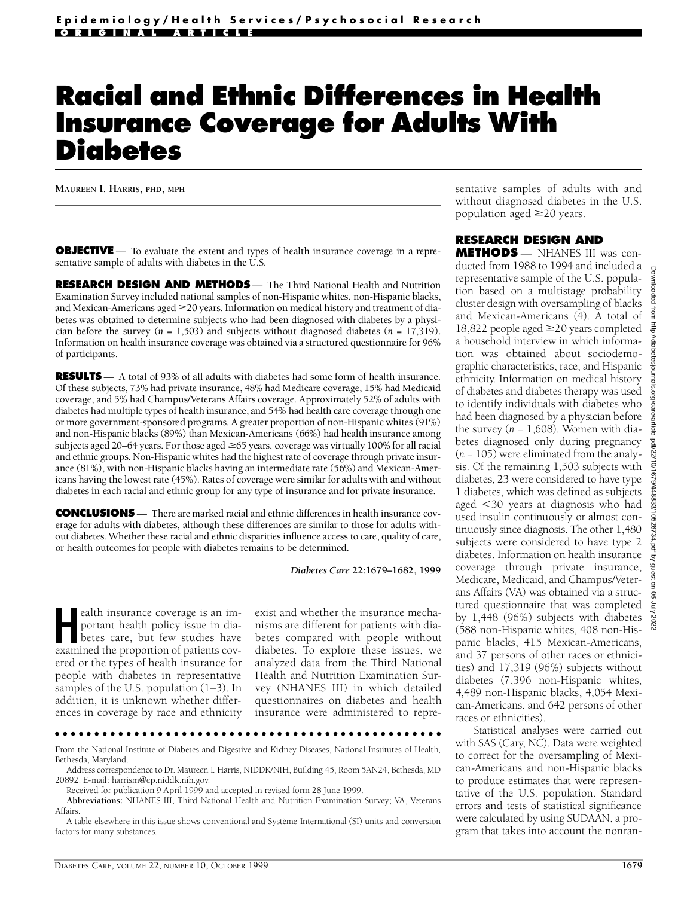# **Racial and Ethnic Differences in Health Insurance Coverage for Adults With Diabetes**

**MAUREEN I. HARRIS, PHD, MPH**

**OBJECTIVE** — To evaluate the extent and types of health insurance coverage in a representative sample of adults with diabetes in the U.S.

**RESEARCH DESIGN AND METHODS** — The Third National Health and Nutrition Examination Survey included national samples of non-Hispanic whites, non-Hispanic blacks, and Mexican-Americans aged  $\geq$  20 years. Information on medical history and treatment of diabetes was obtained to determine subjects who had been diagnosed with diabetes by a physician before the survey  $(n = 1,503)$  and subjects without diagnosed diabetes  $(n = 17,319)$ . Information on health insurance coverage was obtained via a structured questionnaire for 96% of participants.

**RESULTS** — A total of 93% of all adults with diabetes had some form of health insurance. Of these subjects, 73% had private insurance, 48% had Medicare coverage, 15% had Medicaid coverage, and 5% had Champus/Veterans Affairs coverage. Approximately 52% of adults with diabetes had multiple types of health insurance, and 54% had health care coverage through one or more government-sponsored programs. A greater proportion of non-Hispanic whites (91%) and non-Hispanic blacks (89%) than Mexican-Americans (66%) had health insurance among subjects aged 20–64 years. For those aged  $\geq$ 65 years, coverage was virtually 100% for all racial and ethnic groups. Non-Hispanic whites had the highest rate of coverage through private insurance (81%), with non-Hispanic blacks having an intermediate rate (56%) and Mexican-Americans having the lowest rate (45%). Rates of coverage were similar for adults with and without diabetes in each racial and ethnic group for any type of insurance and for private insurance.

**CONCLUSIONS** — There are marked racial and ethnic differences in health insurance coverage for adults with diabetes, although these differences are similar to those for adults without diabetes. Whether these racial and ethnic disparities influence access to care, quality of care , or health outcomes for people with diabetes remains to be determined.

*Diabetes Care* **22:1679–1682, 1999**

ealth insurance coverage is an important health policy issue in diabetes care, but few studies have examined the proportion of patients covealth insurance coverage is an important health policy issue in diabetes care, but few studies have e red or the types of health insurance for people with diabetes in representative samples of the U.S. population (1–3). In addition, it is unknown whether differences in coverage by race and ethnicity exist and whether the insurance mechanisms are different for patients with diabetes compared with people without diabetes. To explore these issues, we analyzed data from the Third National Health and Nutrition Examination Survey (NHANES III) in which detailed questionnaires on diabetes and health insurance were administered to repre-

A table elsewhere in this issue shows conventional and Système International (SI) units and conversion factors for many substances.

sentative samples of adults with and without diagnosed diabetes in the U.S. population aged  $\geq$ 20 years.

### **RESEARCH DESIGN AND**

**METHODS** — NHANES III was conducted from 1988 to 1994 and included a representative sample of the U.S. population based on a multistage probability cluster design with oversampling of blacks and Mexican-Americans (4). A total of 18,822 people aged  $\geq$ 20 years completed a household interview in which information was obtained about sociodemographic characteristics, race, and Hispanic ethnicity. Information on medical history of diabetes and diabetes therapy was used to identify individuals with diabetes who had been diagnosed by a physician before the survey  $(n = 1,608)$ . Women with diabetes diagnosed only during pregnancy (*n* = 105) were eliminated from the analysis. Of the remaining 1,503 subjects with diabetes, 23 were considered to have type 1 diabetes, which was defined as subjects aged  $\leq$ 30 years at diagnosis who had used insulin continuously or almost continuously since diagnosis. The other 1,480 subjects were considered to have type 2 diabetes. Information on health insurance coverage through private insurance, Medicare, Medicaid, and Champus/Veterans Affairs (VA) was obtained via a structured questionnaire that was completed by 1,448 (96%) subjects with diabetes (588 non-Hispanic whites, 408 non-Hispanic blacks, 415 Mexican-Americans, and 37 persons of other races or ethnicities) and 17,319 (96%) subjects without diabetes (7,396 non-Hispanic whites, 4,489 non-Hispanic blacks, 4,054 Mexican-Americans, and 642 persons of other races or ethnicities).

Statistical analyses were carried out with SAS (Cary, NC). Data were weighted to correct for the oversampling of Mexican-Americans and non-Hispanic blacks to produce estimates that were representative of the U.S. population. Standard errors and tests of statistical significance were calculated by using SUDAAN, a program that takes into account the nonran-

From the National Institute of Diabetes and Digestive and Kidney Diseases, National Institutes of Health, Bethesda, Maryland.

Address correspondence to Dr. Maureen I. Harris, NIDDK/NIH, Building 45, Room 5AN24, Bethesda, MD 20892. E-mail: harrism@ep.niddk.nih.gov.

Received for publication 9 April 1999 and accepted in revised form 28 June 1999.

Abbreviations: NHANES III, Third National Health and Nutrition Examination Survey; VA, Veterans Affairs.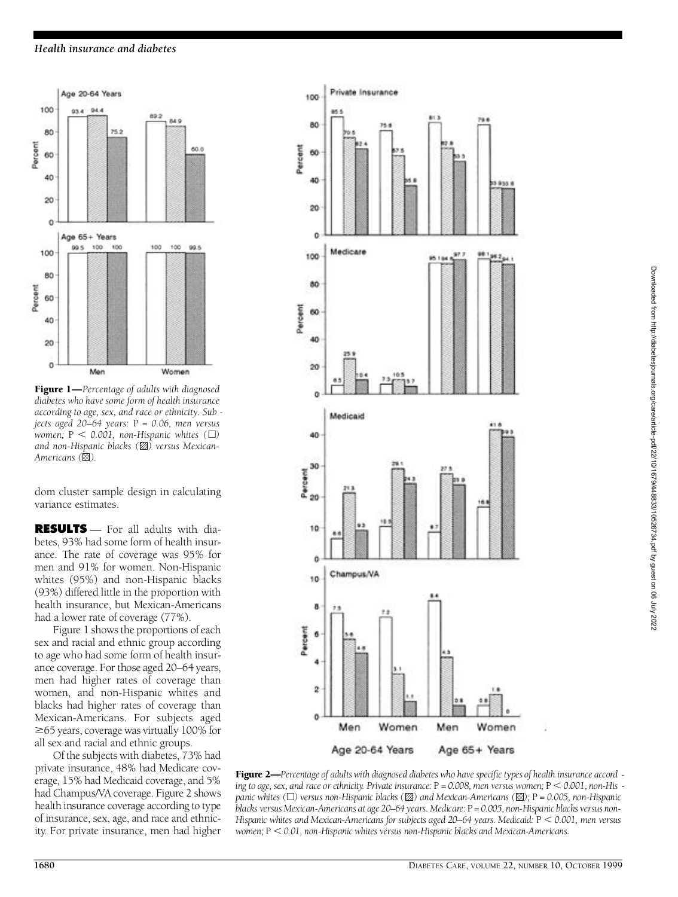## *Health insurance and diabetes*



Figure 1—*Percentage of adults with diagnosed diabetes who have some form of health insurance according to age, sex, and race or ethnicity. Sub jects aged 20–64 years:* P *= 0.06, men versus women;*  $P < 0.001$ *, non-Hispanic whites* ( $\Box$ ) *and non-Hispanic blacks ( ) versus Mexican-Americans* ( $\otimes$ ).

dom cluster sample design in calculating variance estimates.

**RESULTS** — For all adults with diabetes, 93% had some form of health insurance. The rate of coverage was 95% for men and 91% for women. Non-Hispanic whites (95%) and non-Hispanic blacks (93%) differed little in the proportion with health insurance, but Mexican-Americans had a lower rate of coverage (77%).

Figure 1 shows the proportions of each sex and racial and ethnic group according to age who had some form of health insurance coverage. For those aged 20–64 years, men had higher rates of coverage than women, and non-Hispanic whites and blacks had higher rates of coverage than Mexican-Americans. For subjects aged  $\geq$ 65 years, coverage was virtually 100% for all sex and racial and ethnic groups.

Of the subjects with diabetes, 73% had private insurance, 48% had Medicare coverage, 15% had Medicaid coverage, and 5% had Champus/VA coverage. Figure 2 shows health insurance coverage according to type of insurance, sex, age, and race and ethnicity. For private insurance, men had higher



Figure 2—*Percentage of adults with diagnosed diabetes who have specific types of health insurance accord ing to age, sex, and race or ethnicity. Private insurance:*  $P = 0.008$ , *men versus women;*  $P \le 0.001$ , *non-His panic whites (*h*) versus non-Hispanic blacks ( ) and Mexican-Americans ( );* P *= 0.005, non-Hispanic* blacks versus Mexican-Americans at age 20–64 years. Medicare: P = 0.005, non-Hispanic blacks versus non-*Hispanic whites and Mexican-Americans for subjects aged 20–64 years. Medicaid:* P , *0.001, men versus women;* P , *0.01, non-Hispanic whites versus non-Hispanic blacks and Mexican-Americans.*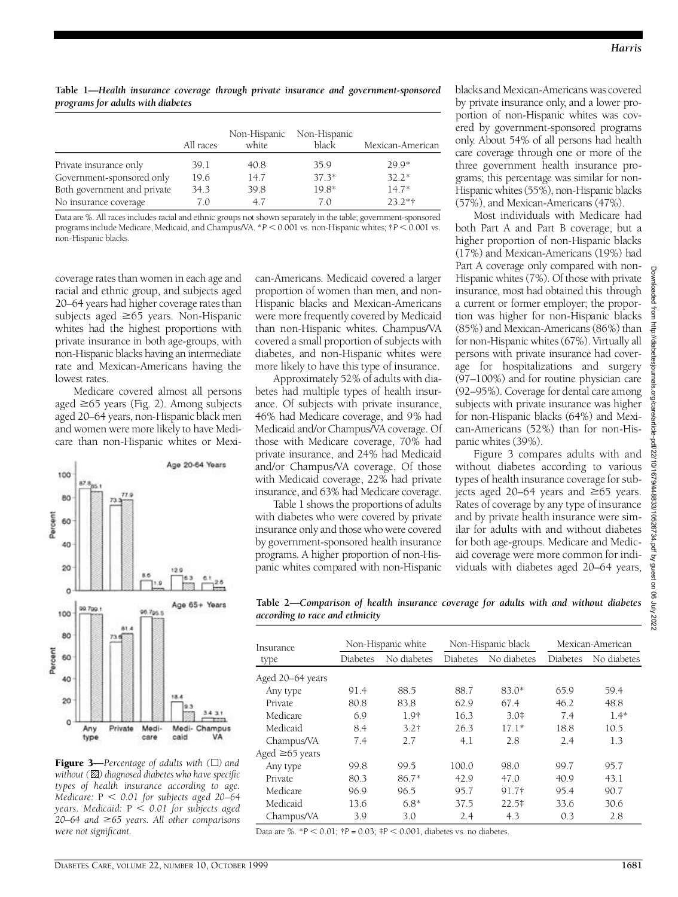Table 1—*Health insurance coverage through private insurance and government-sponsored p rograms for adults with diabetes*

|                             | All races | Non-Hispanic<br>white | Non-Hispanic<br>black | Mexican-American |
|-----------------------------|-----------|-----------------------|-----------------------|------------------|
| Private insurance only      | 39.1      | 40.8                  | 35.9                  | $29.9*$          |
| Government-sponsored only   | 19.6      | 14.7                  | $37.3*$               | $32.2*$          |
| Both government and private | 34.3      | 39.8                  | $19.8*$               | $14.7*$          |
| No insurance coverage       | 7.0       | 47                    | 70                    | $232**$          |

Data are %. All races includes racial and ethnic groups not shown separately in the table; government-sponsored programs include Medicare, Medicaid, and Champus/VA.  $*P < 0.001$  vs. non-Hispanic whites;  $\dagger P < 0.001$  vs. non-Hispanic blacks.

coverage rates than women in each age and racial and ethnic group, and subjects aged 20–64 years had higher coverage rates than subjects aged  $\geq 65$  years. Non-Hispanic whites had the highest proportions with private insurance in both age-groups, with non-Hispanic blacks having an intermediate rate and Mexican-Americans having the lowest rates.

Medicare covered almost all persons aged  $\geq$ 65 years (Fig. 2). Among subjects aged 20–64 years, non-Hispanic black men and women were more likely to have Medicare than non-Hispanic whites or Mexi-



Figure 3—*Percentage of adults with (*h*) and without* ( $\boxtimes$ ) diagnosed diabetes who have specific *types of health insurance according to age. Medicare:*  $P < 0.01$  for subjects aged 20–64 *years. Medicaid:* P , *0.01 for subjects aged 20–64 and* \$*65 years. All other comparisons were not significant.*

can-Americans. Medicaid covered a larger proportion of women than men, and non-Hispanic blacks and Mexican-Americans were more frequently covered by Medicaid than non-Hispanic whites. Champus/VA covered a small proportion of subjects with diabetes, and non-Hispanic whites were more likely to have this type of insurance.

Approximately 52% of adults with diabetes had multiple types of health insurance. Of subjects with private insurance, 46% had Medicare coverage, and 9% had Medicaid and/or Champus/VA coverage. Of those with Medicare coverage, 70% had private insurance, and 24% had Medicaid and/or Champus/VA coverage. Of those with Medicaid coverage, 22% had private insurance, and 63% had Medicare coverage.

Table 1 shows the proportions of adults with diabetes who were covered by private insurance only and those who were covered by government-sponsored health insurance programs. A higher proportion of non-Hispanic whites compared with non-Hispanic

blacks and Mexican-Americans was covered by private insurance only, and a lower proportion of non-Hispanic whites was covered by government-sponsored programs only. About 54% of all persons had health care coverage through one or more of the three government health insurance programs; this percentage was similar for non-Hispanic whites (55%), non-Hispanic blacks (57%), and Mexican-Americans (47%).

Most individuals with Medicare had both Part A and Part B coverage, but a higher proportion of non-Hispanic blacks (17%) and Mexican-Americans (19%) had Part A coverage only compared with non-Hispanic whites (7%). Of those with private insurance, most had obtained this through a current or former employer; the proportion was higher for non-Hispanic blacks (85%) and Mexican-Americans (86%) than for non-Hispanic whites (67%). Virtually all persons with private insurance had coverage for hospitalizations and surgery (97–100%) and for routine physician care (92–95%). Coverage for dental care among subjects with private insurance was higher for non-Hispanic blacks (64%) and Mexican-Americans (52%) than for non-Hispanic whites (39%).

Figure 3 compares adults with and without diabetes according to various types of health insurance coverage for subjects aged 20–64 years and  $\geq 65$  years. Rates of coverage by any type of insurance and by private health insurance were similar for adults with and without diabetes for both age-groups. Medicare and Medicaid coverage were more common for individuals with diabetes aged 20–64 years,

**Table 2—***Comparison of health insurance coverage for adults with and without diabetes a c c o rding to race and ethnicity*

| Insurance<br>type | Non-Hispanic white |                  | Non-Hispanic black |             | Mexican-American |             |
|-------------------|--------------------|------------------|--------------------|-------------|------------------|-------------|
|                   | Diabetes           | No diabetes      | <b>Diabetes</b>    | No diabetes | Diabetes         | No diabetes |
| Aged 20–64 years  |                    |                  |                    |             |                  |             |
| Any type          | 91.4               | 88.5             | 88.7               | $83.0*$     | 65.9             | 59.4        |
| Private           | 80.8               | 83.8             | 62.9               | 67.4        | 46.2             | 48.8        |
| Medicare          | 6.9                | 1.9 <sup>†</sup> | 16.3               | $3.0*$      | 7.4              | $1.4*$      |
| Medicaid          | 8.4                | 3.2 <sub>†</sub> | 26.3               | $17.1*$     | 18.8             | 10.5        |
| Champus/VA        | 7.4                | 2.7              | 4.1                | 2.8         | 2.4              | 1.3         |
| Aged ≥65 years    |                    |                  |                    |             |                  |             |
| Any type          | 99.8               | 99.5             | 100.0              | 98.0        | 99.7             | 95.7        |
| Private           | 80.3               | $86.7*$          | 42.9               | 47.0        | 40.9             | 43.1        |
| Medicare          | 96.9               | 96.5             | 95.7               | 91.7†       | 95.4             | 90.7        |
| Medicaid          | 13.6               | $6.8*$           | 37.5               | $22.5*$     | 33.6             | 30.6        |
| Champus/VA        | 3.9                | 3.0              | 2.4                | 4.3         | 0.3              | 2.8         |

Data are %.  $*P < 0.01$ ;  $\uparrow P = 0.03$ ;  $\uparrow P < 0.001$ , diabetes vs. no diabetes.

**Downloaded** 

 $\frac{1}{6}$